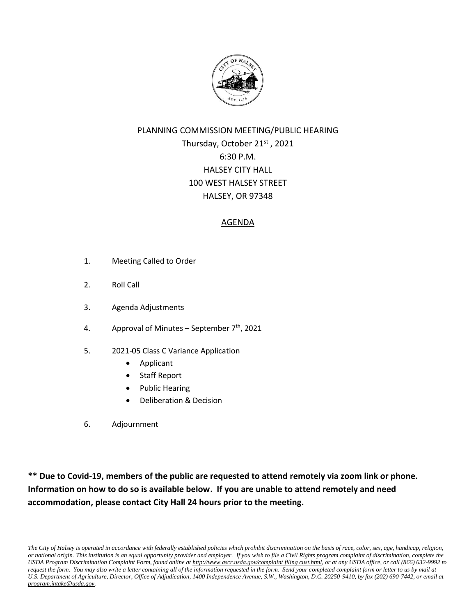

# PLANNING COMMISSION MEETING/PUBLIC HEARING Thursday, October 21<sup>st</sup>, 2021 6:30 P.M. HALSEY CITY HALL 100 WEST HALSEY STREET HALSEY, OR 97348

# AGENDA

- 1. Meeting Called to Order
- 2. Roll Call
- 3. Agenda Adjustments
- 4. Approval of Minutes September  $7<sup>th</sup>$ , 2021
- 5. 2021-05 Class C Variance Application
	- Applicant
	- Staff Report
	- Public Hearing
	- Deliberation & Decision
- 6. Adjournment

**\*\* Due to Covid-19, members of the public are requested to attend remotely via zoom link or phone. Information on how to do so is available below. If you are unable to attend remotely and need accommodation, please contact City Hall 24 hours prior to the meeting.**

*The City of Halsey is operated in accordance with federally established policies which prohibit discrimination on the basis of race, color, sex, age, handicap, religion, or national origin. This institution is an equal opportunity provider and employer. If you wish to file a Civil Rights program complaint of discrimination, complete the USDA Program Discrimination Complaint Form, found online at http://www.ascr.usda.gov/complaint filing cust.html, or at any USDA office, or call (866) 632-9992 to request the form. You may also write a letter containing all of the information requested in the form. Send your completed complaint form or letter to us by mail at U.S. Department of Agriculture, Director, Office of Adjudication, 1400 Independence Avenue, S.W., Washington, D.C. 20250-9410, by fax (202) 690-7442, or email at program.intake@usda.gov.*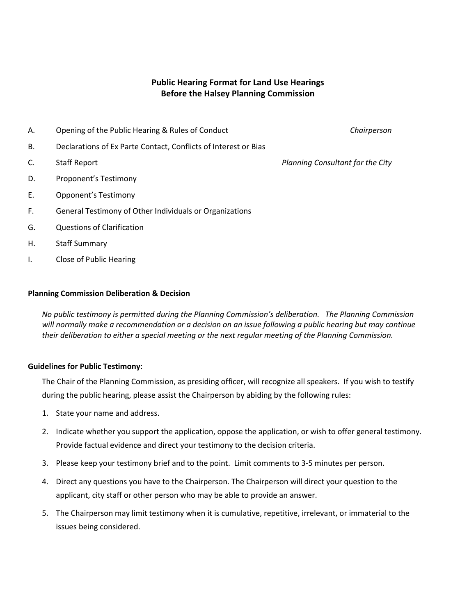### **Public Hearing Format for Land Use Hearings Before the Halsey Planning Commission**

A. Opening of the Public Hearing & Rules of Conduct *Chairperson*

B. Declarations of Ex Parte Contact, Conflicts of Interest or Bias

- 
- D. Proponent's Testimony
- E. Opponent's Testimony
- F. General Testimony of Other Individuals or Organizations
- G. Questions of Clarification
- H. Staff Summary
- I. Close of Public Hearing

#### **Planning Commission Deliberation & Decision**

*No public testimony is permitted during the Planning Commission's deliberation. The Planning Commission will normally make a recommendation or a decision on an issue following a public hearing but may continue their deliberation to either a special meeting or the next regular meeting of the Planning Commission.*

#### **Guidelines for Public Testimony**:

The Chair of the Planning Commission, as presiding officer, will recognize all speakers. If you wish to testify during the public hearing, please assist the Chairperson by abiding by the following rules:

- 1. State your name and address.
- 2. Indicate whether you support the application, oppose the application, or wish to offer general testimony. Provide factual evidence and direct your testimony to the decision criteria.
- 3. Please keep your testimony brief and to the point. Limit comments to 3-5 minutes per person.
- 4. Direct any questions you have to the Chairperson. The Chairperson will direct your question to the applicant, city staff or other person who may be able to provide an answer.
- 5. The Chairperson may limit testimony when it is cumulative, repetitive, irrelevant, or immaterial to the issues being considered.

C. Staff Report *Planning Consultant for the City*